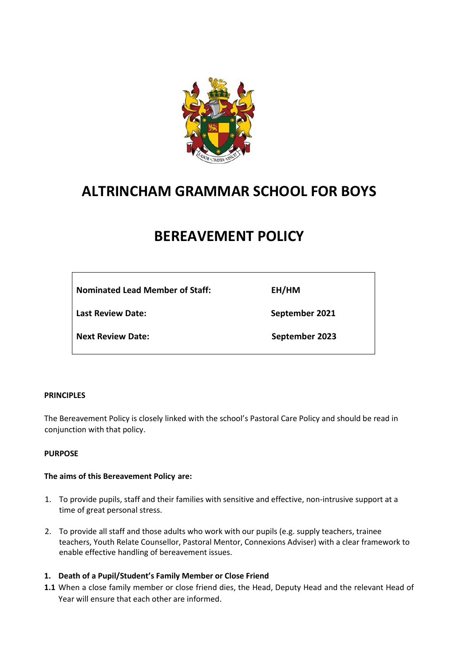

# **ALTRINCHAM GRAMMAR SCHOOL FOR BOYS**

# **BEREAVEMENT POLICY**

**Nominated Lead Member of Staff: EH/HM** Last Review Date: September 2021 **Next Review Date:** September 2023

# **PRINCIPLES**

The Bereavement Policy is closely linked with the school's Pastoral Care Policy and should be read in conjunction with that policy.

# **PURPOSE**

# **The aims of this Bereavement Policy are:**

- 1. To provide pupils, staff and their families with sensitive and effective, non-intrusive support at a time of great personal stress.
- 2. To provide all staff and those adults who work with our pupils (e.g. supply teachers, trainee teachers, Youth Relate Counsellor, Pastoral Mentor, Connexions Adviser) with a clear framework to enable effective handling of bereavement issues.

# **1. Death of a Pupil/Student's Family Member or Close Friend**

**1.1** When a close family member or close friend dies, the Head, Deputy Head and the relevant Head of Year will ensure that each other are informed.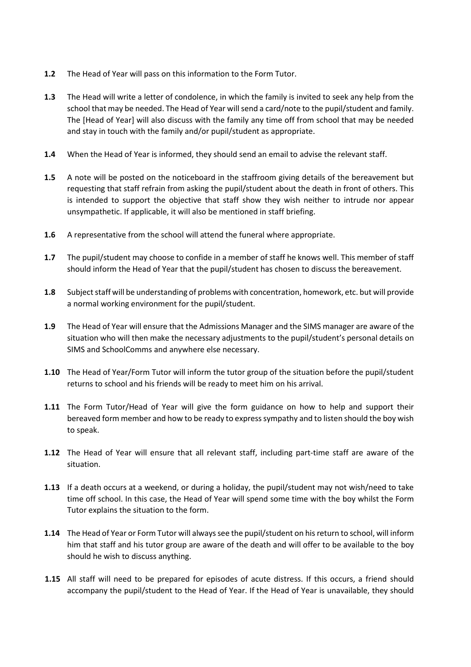- **1.2** The Head of Year will pass on this information to the Form Tutor.
- **1.3** The Head will write a letter of condolence, in which the family is invited to seek any help from the school that may be needed. The Head of Year will send a card/note to the pupil/student and family. The [Head of Year] will also discuss with the family any time off from school that may be needed and stay in touch with the family and/or pupil/student as appropriate.
- **1.4** When the Head of Year is informed, they should send an email to advise the relevant staff.
- **1.5** A note will be posted on the noticeboard in the staffroom giving details of the bereavement but requesting that staff refrain from asking the pupil/student about the death in front of others. This is intended to support the objective that staff show they wish neither to intrude nor appear unsympathetic. If applicable, it will also be mentioned in staff briefing.
- **1.6** A representative from the school will attend the funeral where appropriate.
- **1.7** The pupil/student may choose to confide in a member of staff he knows well. This member of staff should inform the Head of Year that the pupil/student has chosen to discuss the bereavement.
- **1.8** Subject staff will be understanding of problems with concentration, homework, etc. but will provide a normal working environment for the pupil/student.
- **1.9** The Head of Year will ensure that the Admissions Manager and the SIMS manager are aware of the situation who will then make the necessary adjustments to the pupil/student's personal details on SIMS and SchoolComms and anywhere else necessary.
- **1.10** The Head of Year/Form Tutor will inform the tutor group of the situation before the pupil/student returns to school and his friends will be ready to meet him on his arrival.
- **1.11** The Form Tutor/Head of Year will give the form guidance on how to help and support their bereaved form member and how to be ready to express sympathy and to listen should the boy wish to speak.
- **1.12** The Head of Year will ensure that all relevant staff, including part-time staff are aware of the situation.
- **1.13** If a death occurs at a weekend, or during a holiday, the pupil/student may not wish/need to take time off school. In this case, the Head of Year will spend some time with the boy whilst the Form Tutor explains the situation to the form.
- **1.14** The Head of Year or Form Tutor will always see the pupil/student on his return to school, will inform him that staff and his tutor group are aware of the death and will offer to be available to the boy should he wish to discuss anything.
- **1.15** All staff will need to be prepared for episodes of acute distress. If this occurs, a friend should accompany the pupil/student to the Head of Year. If the Head of Year is unavailable, they should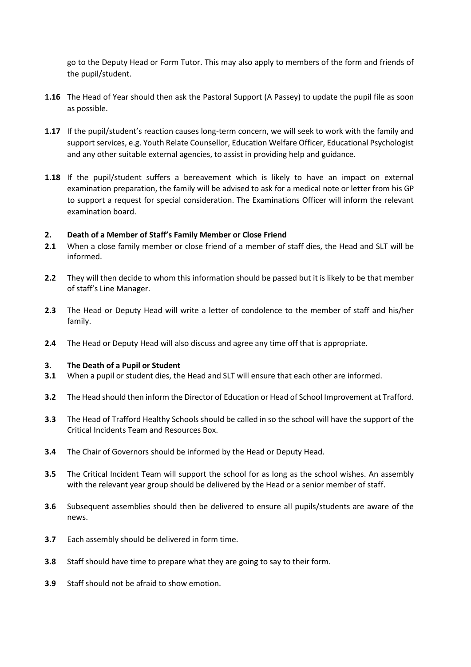go to the Deputy Head or Form Tutor. This may also apply to members of the form and friends of the pupil/student.

- **1.16** The Head of Year should then ask the Pastoral Support (A Passey) to update the pupil file as soon as possible.
- **1.17** If the pupil/student's reaction causes long-term concern, we will seek to work with the family and support services, e.g. Youth Relate Counsellor, Education Welfare Officer, Educational Psychologist and any other suitable external agencies, to assist in providing help and guidance.
- **1.18** If the pupil/student suffers a bereavement which is likely to have an impact on external examination preparation, the family will be advised to ask for a medical note or letter from his GP to support a request for special consideration. The Examinations Officer will inform the relevant examination board.

# **2. Death of a Member of Staff's Family Member or Close Friend**

- **2.1** When a close family member or close friend of a member of staff dies, the Head and SLT will be informed.
- **2.2** They will then decide to whom this information should be passed but it is likely to be that member of staff's Line Manager.
- **2.3** The Head or Deputy Head will write a letter of condolence to the member of staff and his/her family.
- **2.4** The Head or Deputy Head will also discuss and agree any time off that is appropriate.

# **3. The Death of a Pupil or Student**

- **3.1** When a pupil or student dies, the Head and SLT will ensure that each other are informed.
- **3.2** The Head should then inform the Director of Education or Head of School Improvement at Trafford.
- **3.3** The Head of Trafford Healthy Schools should be called in so the school will have the support of the Critical Incidents Team and Resources Box.
- **3.4** The Chair of Governors should be informed by the Head or Deputy Head.
- **3.5** The Critical Incident Team will support the school for as long as the school wishes. An assembly with the relevant year group should be delivered by the Head or a senior member of staff.
- **3.6** Subsequent assemblies should then be delivered to ensure all pupils/students are aware of the news.
- **3.7** Each assembly should be delivered in form time.
- **3.8** Staff should have time to prepare what they are going to say to their form.
- **3.9** Staff should not be afraid to show emotion.